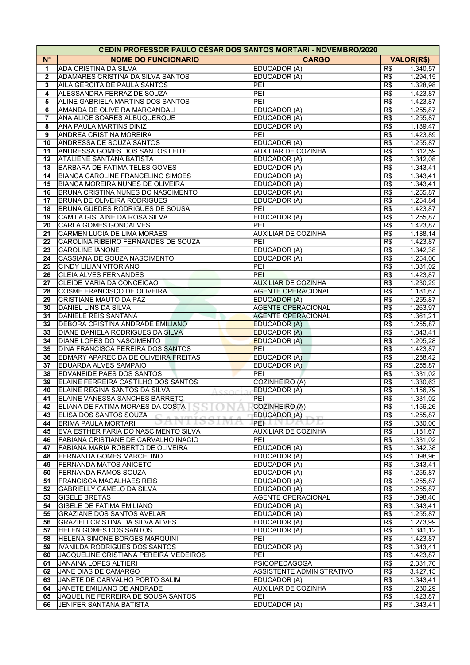| <b>CEDIN PROFESSOR PAULO CESAR DOS SANTOS MORTARI - NOVEMBRO/2020</b> |                                                                     |                              |                  |                      |  |  |  |
|-----------------------------------------------------------------------|---------------------------------------------------------------------|------------------------------|------------------|----------------------|--|--|--|
| $N^{\circ}$                                                           | <b>NOME DO FUNCIONARIO</b>                                          | <b>CARGO</b>                 |                  | <b>VALOR(R\$)</b>    |  |  |  |
| 1                                                                     | <b>ADA CRISTINA DA SILVA</b>                                        | EDUCADOR (A)                 | R\$              | 1.340,57             |  |  |  |
| $\mathbf{2}$                                                          | ADAMARES CRISTINA DA SILVA SANTOS                                   | EDUCADOR (A)                 | R\$              | 1.294, 15            |  |  |  |
| 3                                                                     | AILA GERCITA DE PAULA SANTOS                                        | PEI                          | R\$              | 1.328,98             |  |  |  |
| 4                                                                     | ALESSANDRA FERRAZ DE SOUZA                                          | PEI                          | R\$              | 1.423,87             |  |  |  |
| 5                                                                     | ALINE GABRIELA MARTINS DOS SANTOS                                   | PEI                          | R\$              | 1.423,87             |  |  |  |
| 6                                                                     | AMANDA DE OLIVEIRA MARCANDALI                                       | EDUCADOR (A)                 | R\$              | 1.255,87             |  |  |  |
| 7                                                                     | ANA ALICE SOARES ALBUQUERQUE                                        | EDUCADOR (A)                 | R\$              | 1.255,87             |  |  |  |
| 8                                                                     | <b>ANA PAULA MARTINS DINIZ</b>                                      | EDUCADOR (A)                 | R\$              | 1.189,47             |  |  |  |
| 9                                                                     | <b>ANDREA CRISTINA MOREIRA</b>                                      | PEI                          | R\$              | 1.423,89             |  |  |  |
| 10                                                                    | <b>ANDRESSA DE SOUZA SANTOS</b>                                     | EDUCADOR (A)                 | R\$              | 1.255,87             |  |  |  |
| 11                                                                    | <b>ANDRESSA GOMES DOS SANTOS LEITE</b>                              | <b>AUXILIAR DE COZINHA</b>   | R\$              | 1.312,59             |  |  |  |
| 12                                                                    | <b>ATALIENE SANTANA BATISTA</b>                                     | EDUCADOR (A)                 | R\$              | 1.342,08             |  |  |  |
| 13                                                                    | <b>BARBARA DE FATIMA TELES GOMES</b>                                | EDUCADOR (A)                 | R\$              | 1.343,41             |  |  |  |
| 14                                                                    | <b>BIANCA CAROLINE FRANCELINO SIMOES</b>                            | EDUCADOR (A)                 | R\$              | 1.343,41             |  |  |  |
| 15                                                                    | BIANCA MOREIRA NUNES DE OLIVEIRA                                    | EDUCADOR (A)                 | R\$              | 1.343,41             |  |  |  |
| 16                                                                    | BRUNA CRISTINA NUNES DO NASCIMENTO                                  | EDUCADOR (A)                 | R\$              | 1.255,87             |  |  |  |
| 17                                                                    | <b>BRUNA DE OLIVEIRA RODRIGUES</b>                                  | EDUCADOR (A)                 | R\$              | 1.254,84             |  |  |  |
| 18                                                                    | <b>BRUNA GUEDES RODRIGUES DE SOUSA</b>                              | PEI                          | R\$              | 1.423,87             |  |  |  |
| 19                                                                    | CAMILA GISLAINE DA ROSA SILVA<br>CARLA GOMES GONCALVES              | EDUCADOR (A)<br>PEI          | R\$<br>R\$       | 1.255,87             |  |  |  |
| 20<br>21                                                              | CARMEN LUCIA DE LIMA MORAES                                         | <b>AUXILIAR DE COZINHA</b>   | R\$              | 1.423,87<br>1.188,14 |  |  |  |
| 22                                                                    | CAROLINA RIBEIRO FERNANDES DE SOUZA                                 | PEI                          | R\$              | 1.423,87             |  |  |  |
| 23                                                                    | <b>CAROLINE IANONE</b>                                              | EDUCADOR (A)                 | R\$              | 1.342,38             |  |  |  |
| 24                                                                    | CASSIANA DE SOUZA NASCIMENTO                                        | EDUCADOR (A)                 | R\$              | 1.254,06             |  |  |  |
| 25                                                                    | <b>CINDY LILIAN VITORIANO</b>                                       | PEI                          | R\$              | 1.331,02             |  |  |  |
| 26                                                                    | <b>CLEIA ALVES FERNANDES</b>                                        | PEI                          | R\$              | 1.423,87             |  |  |  |
| 27                                                                    | CLEIDE MARIA DA CONCEICAO                                           | <b>AUXILIAR DE COZINHA</b>   | R\$              | 1.230,29             |  |  |  |
| 28                                                                    | COSME FRANCISCO DE OLIVEIRA                                         | <b>AGENTE OPERACIONAL</b>    | R\$              | 1.181,67             |  |  |  |
| 29                                                                    | CRISTIANE MAUTO DA PAZ                                              | <b>EDUCADOR (A)</b>          | R\$              | 1.255,87             |  |  |  |
| 30                                                                    | DANIEL LINS DA SILVA                                                | <b>AGENTE OPERACIONAL</b>    | R\$              | 1.263,97             |  |  |  |
| 31                                                                    | DANIELE REIS SANTANA                                                | <b>AGENTE OPERACIONAL</b>    | R\$              | 1.361,21             |  |  |  |
| 32                                                                    | <b>DEBORA CRISTINA ANDRADE EMILIANO</b>                             | EDUCADOR (A)                 | R\$              | 1.255,87             |  |  |  |
| 33                                                                    | DIANE DANIELA RODRIGUES DA SILVA                                    | <b>EDUCADOR (A)</b>          | R\$              | 1.343,41             |  |  |  |
| 34                                                                    | DIANE LOPES DO NASCIMENTO                                           | <b>EDUCADOR (A)</b>          | R\$              | 1.205,28             |  |  |  |
| 35                                                                    | <b>DINA FRANCISCA PEREIRA DOS SANTOS</b>                            | PEI                          | $\overline{R\$}$ | 1.423,87             |  |  |  |
| 36                                                                    | EDMARY APARECIDA DE OLIVEIRA FREITAS                                | EDUCADOR (A)                 | R\$              | 1.288,42             |  |  |  |
| 37                                                                    | <b>EDUARDA ALVES SAMPAIO</b>                                        | EDUCADOR (A)                 | R\$              | 1.255,87             |  |  |  |
| 38                                                                    | <b>EDVANEIDE PAES DOS SANTOS</b>                                    | PEI                          | R\$              | 1.331,02             |  |  |  |
| 39                                                                    | ELAINE FERREIRA CASTILHO DOS SANTOS                                 | <b>COZINHEIRO (A)</b>        | R\$              | 1.330,63             |  |  |  |
| 40                                                                    | ELAINE REGINA SANTOS DA SILVA<br>CCOCI                              | EDUCADOR (A)                 | R\$              | 1.156,79             |  |  |  |
| 41                                                                    | <b>ELAINE VANESSA SANCHES BARRETO</b>                               | PEI                          | R\$              | 1.331,02             |  |  |  |
| 42                                                                    | ELIANA DE FATIMA MORAES DA COSTA                                    | COZINHEIRO (A)               | R\$              | 1.156,26             |  |  |  |
| 43                                                                    | ELISA DOS SANTOS SOUZA                                              | EDUCADOR (A)                 | R\$              | 1.255,87             |  |  |  |
| 44                                                                    | ERIMA PAULA MORTARI                                                 | PEI-<br>/                    | R\$              | 1.330,00             |  |  |  |
| 45                                                                    | EVA ESTHER FARIA DO NASCIMENTO SILVA                                | <b>AUXILIAR DE COZINHA</b>   | R\$              | 1.181,67             |  |  |  |
| 46                                                                    | FABIANA CRISTIANE DE CARVALHO INACIO                                | PEI                          | R\$              | 1.331,02             |  |  |  |
| 47                                                                    | FABIANA MARIA ROBERTO DE OLIVEIRA                                   | <b>EDUCADOR (A)</b>          | R\$              | 1.342,38             |  |  |  |
| 48                                                                    | <b>FERNANDA GOMES MARCELINO</b>                                     | EDUCADOR (A)                 | R\$              | 1.098,96             |  |  |  |
| 49                                                                    | <b>FERNANDA MATOS ANICETO</b>                                       | EDUCADOR (A)                 | R\$              | 1.343,41             |  |  |  |
| 50                                                                    | <b>FERNANDA RAMOS SOUZA</b>                                         | EDUCADOR (A)                 | R\$              | 1.255,87             |  |  |  |
| 51<br>52                                                              | <b>FRANCISCA MAGALHAES REIS</b><br><b>GABRIELLY CAMELO DA SILVA</b> | EDUCADOR (A)<br>EDUCADOR (A) | R\$<br>R\$       | 1.255,87<br>1.255,87 |  |  |  |
| 53                                                                    | <b>GISELE BRETAS</b>                                                | <b>AGENTE OPERACIONAL</b>    | R\$              | 1.098,46             |  |  |  |
| 54                                                                    | <b>GISELE DE FATIMA EMILIANO</b>                                    | EDUCADOR (A)                 | R\$              | 1.343,41             |  |  |  |
| 55                                                                    | <b>GRAZIANE DOS SANTOS AVELAR</b>                                   | EDUCADOR (A)                 | R\$              | 1.255,87             |  |  |  |
| 56                                                                    | GRAZIELI CRISTINA DA SILVA ALVES                                    | EDUCADOR (A)                 | R\$              | 1.273,99             |  |  |  |
| 57                                                                    | <b>HELEN GOMES DOS SANTOS</b>                                       | EDUCADOR (A)                 | R\$              | 1.341,12             |  |  |  |
| 58                                                                    | <b>HELENA SIMONE BORGES MARQUINI</b>                                | PEI                          | R\$              | 1.423,87             |  |  |  |
| 59                                                                    | IVANILDA RODRIGUES DOS SANTOS                                       | EDUCADOR (A)                 | R\$              | 1.343,41             |  |  |  |
| 60                                                                    | JACQUELINE CRISTIANA PEREIRA MEDEIROS                               | PEI                          | R\$              | 1.423,87             |  |  |  |
| 61                                                                    | JANAINA LOPES ALTIERI                                               | <b>PSICOPEDAGOGA</b>         | R\$              | 2.331,70             |  |  |  |
| 62                                                                    | JANE DIAS DE CAMARGO                                                | ASSISTENTE ADMINISTRATIVO    | R\$              | 3.427,15             |  |  |  |
| 63                                                                    | JANETE DE CARVALHO PORTO SALIM                                      | EDUCADOR (A)                 | R\$              | 1.343,41             |  |  |  |
| 64                                                                    | JANETE EMILIANO DE ANDRADE                                          | <b>AUXILIAR DE COZINHA</b>   | R\$              | 1.230,29             |  |  |  |
| 65                                                                    | JAQUELINE FERREIRA DE SOUSA SANTOS                                  | PEI                          | R\$              | 1.423,87             |  |  |  |
| 66                                                                    | <b>JENIFER SANTANA BATISTA</b>                                      | <b>EDUCADOR (A)</b>          | R\$              | 1.343,41             |  |  |  |